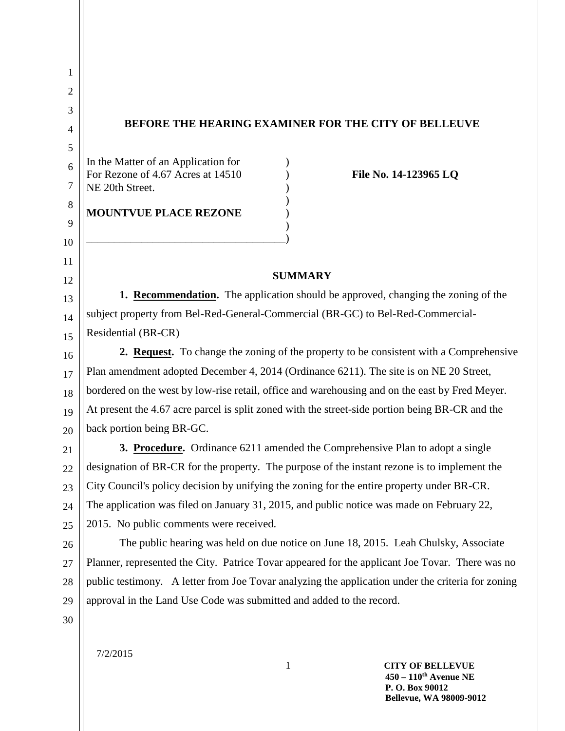7/2/2015 1 **CITY OF BELLEVUE** 1 2 3 4 5 6 7 8 9 10 11 12 13 14 15 16 17 18 19 20 21 22 23 24 25 26 27 28 29 30 **BEFORE THE HEARING EXAMINER FOR THE CITY OF BELLEUVE** In the Matter of an Application for ) For Rezone of 4.67 Acres at 14510 ) **File No. 14-123965 LQ** NE 20th Street. ) ) **MOUNTVUE PLACE REZONE** ) ) \_\_\_\_\_\_\_\_\_\_\_\_\_\_\_\_\_\_\_\_\_\_\_\_\_\_\_\_\_\_\_\_\_\_\_\_) **SUMMARY 1. Recommendation.** The application should be approved, changing the zoning of the subject property from Bel-Red-General-Commercial (BR-GC) to Bel-Red-Commercial-Residential (BR-CR) **2. Request.** To change the zoning of the property to be consistent with a Comprehensive Plan amendment adopted December 4, 2014 (Ordinance 6211). The site is on NE 20 Street, bordered on the west by low-rise retail, office and warehousing and on the east by Fred Meyer. At present the 4.67 acre parcel is split zoned with the street-side portion being BR-CR and the back portion being BR-GC. **3. Procedure.** Ordinance 6211 amended the Comprehensive Plan to adopt a single designation of BR-CR for the property. The purpose of the instant rezone is to implement the City Council's policy decision by unifying the zoning for the entire property under BR-CR. The application was filed on January 31, 2015, and public notice was made on February 22, 2015. No public comments were received. The public hearing was held on due notice on June 18, 2015. Leah Chulsky, Associate Planner, represented the City. Patrice Tovar appeared for the applicant Joe Tovar. There was no public testimony. A letter from Joe Tovar analyzing the application under the criteria for zoning approval in the Land Use Code was submitted and added to the record.

> **450 – 110th Avenue NE P. O. Box 90012 Bellevue, WA 98009-9012**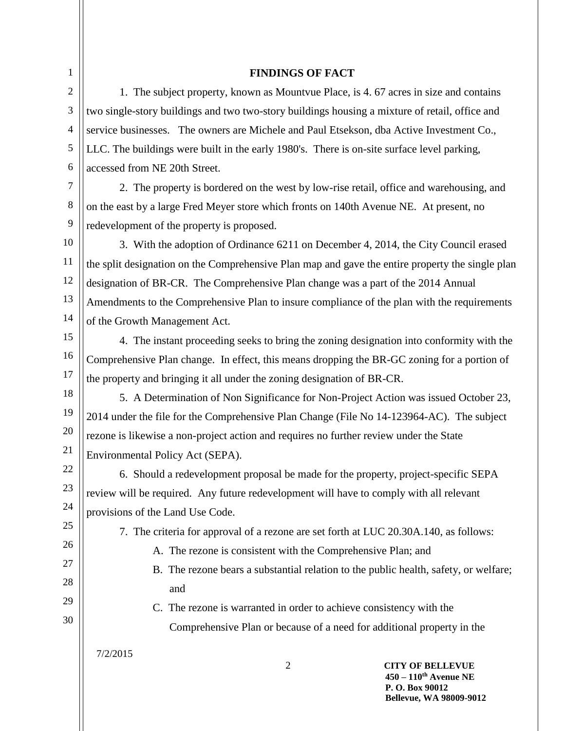## **FINDINGS OF FACT**

1. The subject property, known as Mountvue Place, is 4. 67 acres in size and contains two single-story buildings and two two-story buildings housing a mixture of retail, office and service businesses. The owners are Michele and Paul Etsekson, dba Active Investment Co., LLC. The buildings were built in the early 1980's. There is on-site surface level parking, accessed from NE 20th Street.

7 8 9 2. The property is bordered on the west by low-rise retail, office and warehousing, and on the east by a large Fred Meyer store which fronts on 140th Avenue NE. At present, no redevelopment of the property is proposed.

10 11 12 13 14 3. With the adoption of Ordinance 6211 on December 4, 2014, the City Council erased the split designation on the Comprehensive Plan map and gave the entire property the single plan designation of BR-CR. The Comprehensive Plan change was a part of the 2014 Annual Amendments to the Comprehensive Plan to insure compliance of the plan with the requirements of the Growth Management Act.

15

16

17

22

23

24 25

26

27

28

1 2

3

4

5

6

4. The instant proceeding seeks to bring the zoning designation into conformity with the Comprehensive Plan change. In effect, this means dropping the BR-GC zoning for a portion of the property and bringing it all under the zoning designation of BR-CR.

18 19 20 21 5. A Determination of Non Significance for Non-Project Action was issued October 23, 2014 under the file for the Comprehensive Plan Change (File No 14-123964-AC). The subject rezone is likewise a non-project action and requires no further review under the State Environmental Policy Act (SEPA).

6. Should a redevelopment proposal be made for the property, project-specific SEPA review will be required. Any future redevelopment will have to comply with all relevant provisions of the Land Use Code.

7. The criteria for approval of a rezone are set forth at LUC 20.30A.140, as follows:

C. The rezone is warranted in order to achieve consistency with the

- A. The rezone is consistent with the Comprehensive Plan; and
- B. The rezone bears a substantial relation to the public health, safety, or welfare; and

Comprehensive Plan or because of a need for additional property in the

29 30

7/2/2015

2 **CITY OF BELLEVUE 450 – 110th Avenue NE P. O. Box 90012 Bellevue, WA 98009-9012**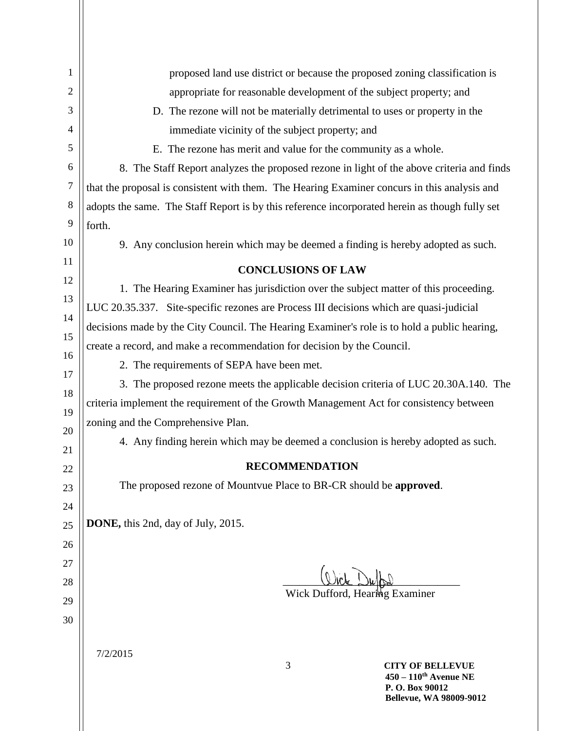| $\mathbf{1}$   | proposed land use district or because the proposed zoning classification is                    |
|----------------|------------------------------------------------------------------------------------------------|
| $\overline{2}$ | appropriate for reasonable development of the subject property; and                            |
| 3              | D. The rezone will not be materially detrimental to uses or property in the                    |
| 4              | immediate vicinity of the subject property; and                                                |
| 5              | E. The rezone has merit and value for the community as a whole.                                |
| 6              | 8. The Staff Report analyzes the proposed rezone in light of the above criteria and finds      |
| $\tau$         | that the proposal is consistent with them. The Hearing Examiner concurs in this analysis and   |
| $\,8\,$        | adopts the same. The Staff Report is by this reference incorporated herein as though fully set |
| 9              | forth.                                                                                         |
| 10             | 9. Any conclusion herein which may be deemed a finding is hereby adopted as such.              |
| 11             | <b>CONCLUSIONS OF LAW</b>                                                                      |
| 12             | 1. The Hearing Examiner has jurisdiction over the subject matter of this proceeding.           |
| 13             | LUC 20.35.337. Site-specific rezones are Process III decisions which are quasi-judicial        |
| 14             | decisions made by the City Council. The Hearing Examiner's role is to hold a public hearing,   |
| 15             | create a record, and make a recommendation for decision by the Council.                        |
| 16             | 2. The requirements of SEPA have been met.                                                     |
| 17             | 3. The proposed rezone meets the applicable decision criteria of LUC 20.30A.140. The           |
| 18             | criteria implement the requirement of the Growth Management Act for consistency between        |
| 19             | zoning and the Comprehensive Plan.                                                             |
| 20             | 4. Any finding herein which may be deemed a conclusion is hereby adopted as such.              |
| 21             | <b>RECOMMENDATION</b>                                                                          |
| 22             | The proposed rezone of Mountvue Place to BR-CR should be approved.                             |
| 23             |                                                                                                |
| 24<br>25       | DONE, this 2nd, day of July, 2015.                                                             |
| 26             |                                                                                                |
| 27             |                                                                                                |
| 28             |                                                                                                |
| 29             | Wick Dufford, Hearing Examiner                                                                 |
| 30             |                                                                                                |
|                |                                                                                                |
|                | 7/2/2015                                                                                       |
|                | 3<br><b>CITY OF BELLEVUE</b><br>$450 - 110$ <sup>th</sup> Avenue NE                            |
|                | P.O. Box 90012<br><b>Bellevue, WA 98009-9012</b>                                               |
|                |                                                                                                |